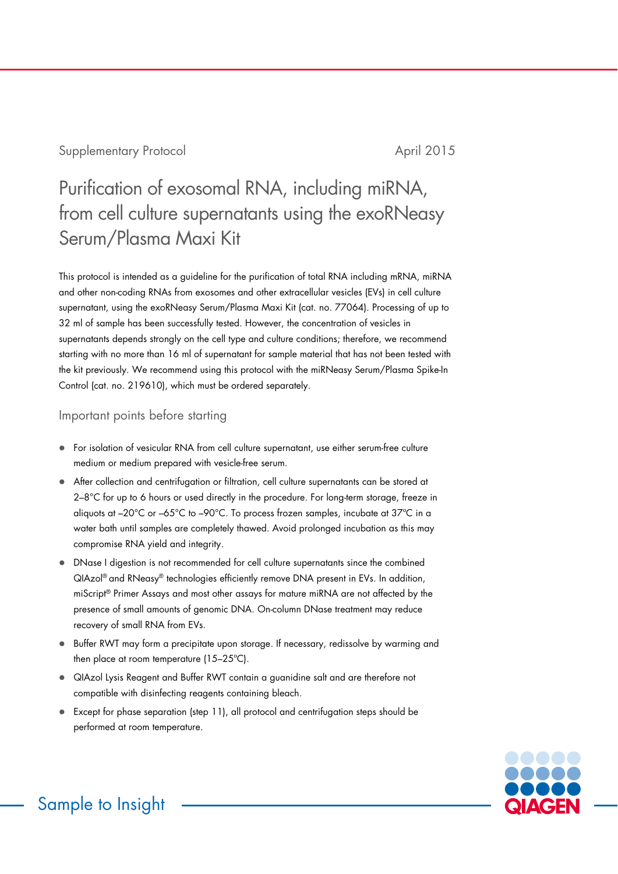Supplementary Protocol and April 2015

# Purification of exosomal RNA, including miRNA, from cell culture supernatants using the exoRNeasy Serum/Plasma Maxi Kit

This protocol is intended as a guideline for the purification of total RNA including mRNA, miRNA and other non-coding RNAs from exosomes and other extracellular vesicles (EVs) in cell culture supernatant, using the exoRNeasy Serum/Plasma Maxi Kit (cat. no. 77064). Processing of up to 32 ml of sample has been successfully tested. However, the concentration of vesicles in supernatants depends strongly on the cell type and culture conditions; therefore, we recommend starting with no more than 16 ml of supernatant for sample material that has not been tested with the kit previously. We recommend using this protocol with the miRNeasy Serum/Plasma Spike-In Control (cat. no. 219610), which must be ordered separately.

### Important points before starting

- For isolation of vesicular RNA from cell culture supernatant, use either serum-free culture medium or medium prepared with vesicle-free serum.
- After collection and centrifugation or filtration, cell culture supernatants can be stored at 2–8°C for up to 6 hours or used directly in the procedure. For long-term storage, freeze in aliquots at –20°C or –65°C to –90°C. To process frozen samples, incubate at 37ºC in a water bath until samples are completely thawed. Avoid prolonged incubation as this may compromise RNA yield and integrity.
- DNase I digestion is not recommended for cell culture supernatants since the combined QIAzol® and RNeasy® technologies efficiently remove DNA present in EVs. In addition, miScript® Primer Assays and most other assays for mature miRNA are not affected by the presence of small amounts of genomic DNA. On-column DNase treatment may reduce recovery of small RNA from EVs.
- Buffer RWT may form a precipitate upon storage. If necessary, redissolve by warming and then place at room temperature (15–25ºC).
- QIAzol Lysis Reagent and Buffer RWT contain a guanidine salt and are therefore not compatible with disinfecting reagents containing bleach.
- Except for phase separation (step 11), all protocol and centrifugation steps should be performed at room temperature.



Sample to Insight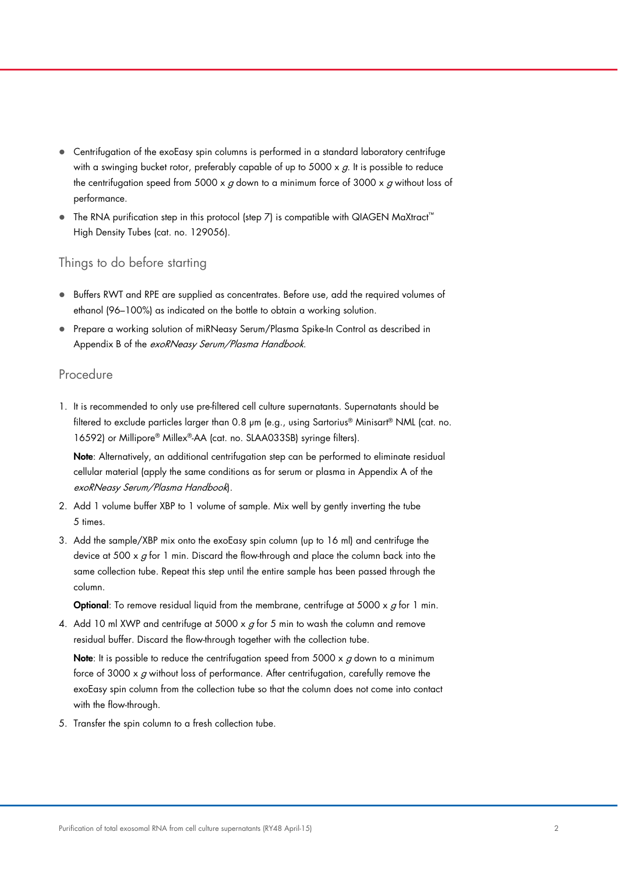- Centrifugation of the exoEasy spin columns is performed in a standard laboratory centrifuge with a swinging bucket rotor, preferably capable of up to 5000  $\times$  g. It is possible to reduce the centrifugation speed from 5000 x  $g$  down to a minimum force of 3000 x  $g$  without loss of performance.
- The RNA purification step in this protocol (step 7) is compatible with QIAGEN MaXtract™ High Density Tubes (cat. no. 129056).

#### Things to do before starting

- **Buffers RWT and RPE are supplied as concentrates. Before use, add the required volumes of** ethanol (96–100%) as indicated on the bottle to obtain a working solution.
- Prepare a working solution of miRNeasy Serum/Plasma Spike-In Control as described in Appendix B of the exoRNeasy Serum/Plasma Handbook.

#### Procedure

1. It is recommended to only use pre-filtered cell culture supernatants. Supernatants should be filtered to exclude particles larger than 0.8 μm (e.g., using Sartorius® Minisart® NML (cat. no. 16592) or Millipore® Millex®-AA (cat. no. SLAA033SB) syringe filters).

Note: Alternatively, an additional centrifugation step can be performed to eliminate residual cellular material (apply the same conditions as for serum or plasma in Appendix A of the exoRNeasy Serum/Plasma Handbook).

- 2. Add 1 volume buffer XBP to 1 volume of sample. Mix well by gently inverting the tube 5 times.
- 3. Add the sample/XBP mix onto the exoEasy spin column (up to 16 ml) and centrifuge the device at 500  $\times$  g for 1 min. Discard the flow-through and place the column back into the same collection tube. Repeat this step until the entire sample has been passed through the column.

**Optional**: To remove residual liquid from the membrane, centrifuge at 5000  $\times$  g for 1 min.

4. Add 10 ml XWP and centrifuge at 5000 x  $g$  for 5 min to wash the column and remove residual buffer. Discard the flow-through together with the collection tube.

Note: It is possible to reduce the centrifugation speed from 5000  $\times$  g down to a minimum force of 3000  $\times$  g without loss of performance. After centrifugation, carefully remove the exoEasy spin column from the collection tube so that the column does not come into contact with the flow-through.

5. Transfer the spin column to a fresh collection tube.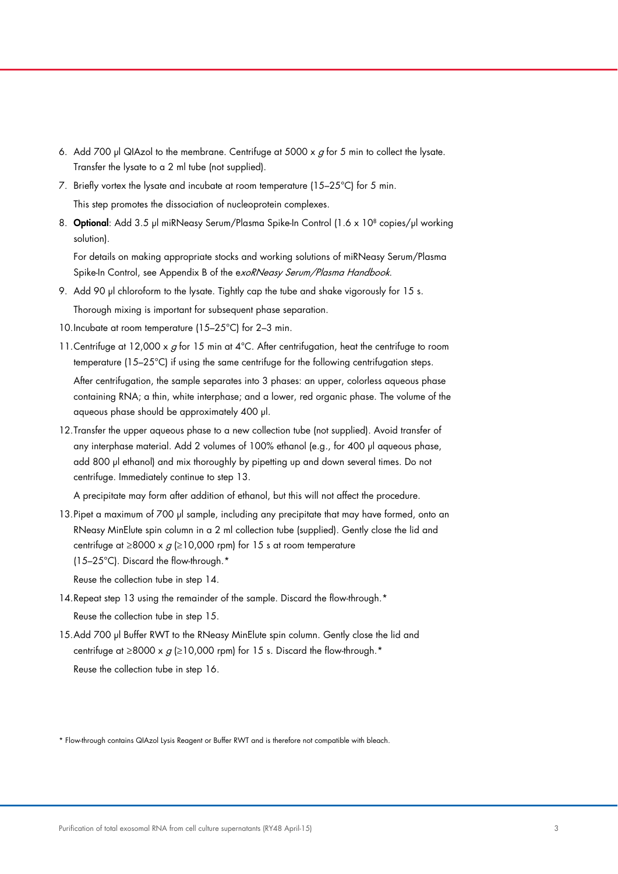- 6. Add 700 μl QIAzol to the membrane. Centrifuge at 5000 x  $q$  for 5 min to collect the lysate. Transfer the lysate to a 2 ml tube (not supplied).
- 7. Briefly vortex the lysate and incubate at room temperature (15–25°C) for 5 min. This step promotes the dissociation of nucleoprotein complexes.
- 8. Optional: Add 3.5 μl miRNeasy Serum/Plasma Spike-In Control (1.6 x 108 copies/μl working solution).

For details on making appropriate stocks and working solutions of miRNeasy Serum/Plasma Spike-In Control, see Appendix B of the exoRNeasy Serum/Plasma Handbook.

9. Add 90 μl chloroform to the lysate. Tightly cap the tube and shake vigorously for 15 s.

Thorough mixing is important for subsequent phase separation.

- 10.Incubate at room temperature (15–25°C) for 2–3 min.
- 11. Centrifuge at 12,000 x  $g$  for 15 min at  $4^{\circ}$ C. After centrifugation, heat the centrifuge to room temperature (15–25°C) if using the same centrifuge for the following centrifugation steps. After centrifugation, the sample separates into 3 phases: an upper, colorless aqueous phase containing RNA; a thin, white interphase; and a lower, red organic phase. The volume of the aqueous phase should be approximately 400 μl.
- 12.Transfer the upper aqueous phase to a new collection tube (not supplied). Avoid transfer of any interphase material. Add 2 volumes of 100% ethanol (e.g., for 400 μl aqueous phase, add 800 μl ethanol) and mix thoroughly by pipetting up and down several times. Do not centrifuge. Immediately continue to step 13.

A precipitate may form after addition of ethanol, but this will not affect the procedure.

13.Pipet a maximum of 700 μl sample, including any precipitate that may have formed, onto an RNeasy MinElute spin column in a 2 ml collection tube (supplied). Gently close the lid and centrifuge at  $\geq$ 8000 x  $q$  ( $\geq$ 10,000 rpm) for 15 s at room temperature (15–25°C). Discard the flow-through.\*

Reuse the collection tube in step 14.

- 14. Repeat step 13 using the remainder of the sample. Discard the flow-through.\* Reuse the collection tube in step 15.
- 15. Add 700 μl Buffer RWT to the RNeasy MinElute spin column. Gently close the lid and centrifuge at ≥8000 x  $g$  (≥10,000 rpm) for 15 s. Discard the flow-through.\*

Reuse the collection tube in step 16.

\* Flow-through contains QIAzol Lysis Reagent or Buffer RWT and is therefore not compatible with bleach.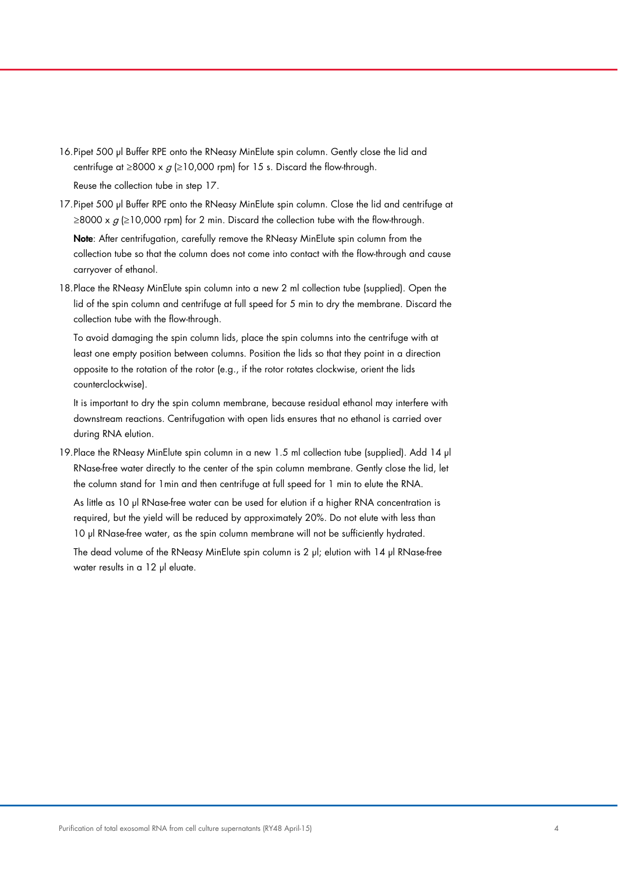- 16.Pipet 500 μl Buffer RPE onto the RNeasy MinElute spin column. Gently close the lid and centrifuge at  $\geq 8000 \times g \geq 10,000$  rpm) for 15 s. Discard the flow-through. Reuse the collection tube in step 17.
- 17.Pipet 500 μl Buffer RPE onto the RNeasy MinElute spin column. Close the lid and centrifuge at ≥8000 x  $g$  (≥10,000 rpm) for 2 min. Discard the collection tube with the flow-through.

Note: After centrifugation, carefully remove the RNeasy MinElute spin column from the collection tube so that the column does not come into contact with the flow-through and cause carryover of ethanol.

18.Place the RNeasy MinElute spin column into a new 2 ml collection tube (supplied). Open the lid of the spin column and centrifuge at full speed for 5 min to dry the membrane. Discard the collection tube with the flow-through.

To avoid damaging the spin column lids, place the spin columns into the centrifuge with at least one empty position between columns. Position the lids so that they point in a direction opposite to the rotation of the rotor (e.g., if the rotor rotates clockwise, orient the lids counterclockwise).

It is important to dry the spin column membrane, because residual ethanol may interfere with downstream reactions. Centrifugation with open lids ensures that no ethanol is carried over during RNA elution.

19.Place the RNeasy MinElute spin column in a new 1.5 ml collection tube (supplied). Add 14 μl RNase-free water directly to the center of the spin column membrane. Gently close the lid, let the column stand for 1min and then centrifuge at full speed for 1 min to elute the RNA.

As little as 10 μl RNase-free water can be used for elution if a higher RNA concentration is required, but the yield will be reduced by approximately 20%. Do not elute with less than 10 μl RNase-free water, as the spin column membrane will not be sufficiently hydrated.

The dead volume of the RNeasy MinElute spin column is 2 μl; elution with 14 μl RNase-free water results in a 12 μl eluate.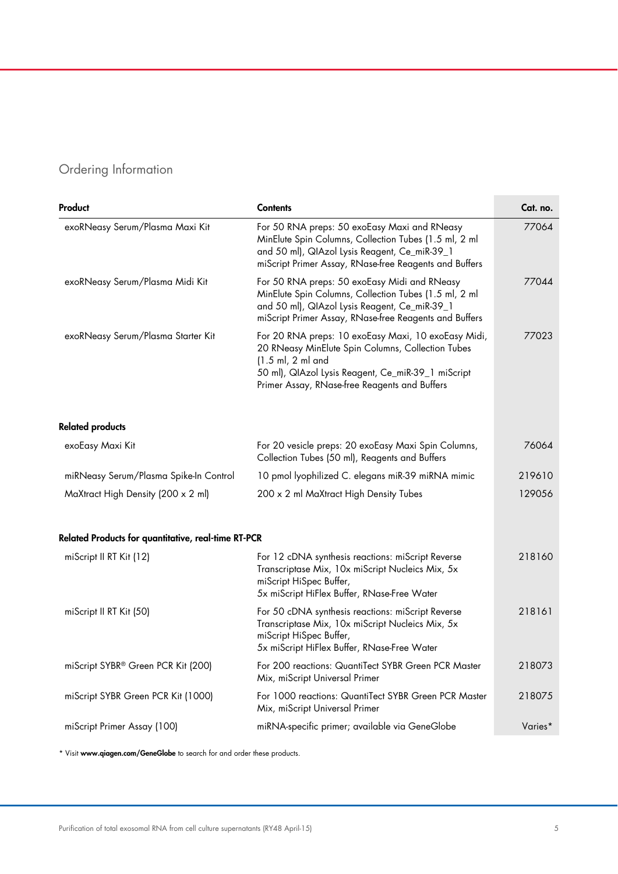## Ordering Information

| Product                                             | <b>Contents</b>                                                                                                                                                                                                                                                | Cat. no. |
|-----------------------------------------------------|----------------------------------------------------------------------------------------------------------------------------------------------------------------------------------------------------------------------------------------------------------------|----------|
| exoRNeasy Serum/Plasma Maxi Kit                     | For 50 RNA preps: 50 exoEasy Maxi and RNeasy<br>MinElute Spin Columns, Collection Tubes (1.5 ml, 2 ml<br>and 50 ml), QIAzol Lysis Reagent, Ce_miR-39_1<br>miScript Primer Assay, RNase-free Reagents and Buffers                                               | 77064    |
| exoRNeasy Serum/Plasma Midi Kit                     | For 50 RNA preps: 50 exoEasy Midi and RNeasy<br>MinElute Spin Columns, Collection Tubes (1.5 ml, 2 ml<br>and 50 ml), QIAzol Lysis Reagent, Ce_miR-39_1<br>miScript Primer Assay, RNase-free Reagents and Buffers                                               | 77044    |
| exoRNeasy Serum/Plasma Starter Kit                  | For 20 RNA preps: 10 exoEasy Maxi, 10 exoEasy Midi,<br>20 RNeasy MinElute Spin Columns, Collection Tubes<br>$(1.5 \text{ ml}, 2 \text{ ml} \text{ and}$<br>50 ml), QIAzol Lysis Reagent, Ce_miR-39_1 miScript<br>Primer Assay, RNase-free Reagents and Buffers | 77023    |
| <b>Related products</b>                             |                                                                                                                                                                                                                                                                |          |
| exoEasy Maxi Kit                                    | For 20 vesicle preps: 20 exoEasy Maxi Spin Columns,<br>Collection Tubes (50 ml), Reagents and Buffers                                                                                                                                                          | 76064    |
| miRNeasy Serum/Plasma Spike-In Control              | 10 pmol lyophilized C. elegans miR-39 miRNA mimic                                                                                                                                                                                                              | 219610   |
| MaXtract High Density (200 x 2 ml)                  | 200 x 2 ml MaXtract High Density Tubes                                                                                                                                                                                                                         | 129056   |
| Related Products for quantitative, real-time RT-PCR |                                                                                                                                                                                                                                                                |          |
| miScript II RT Kit (12)                             | For 12 cDNA synthesis reactions: miScript Reverse<br>Transcriptase Mix, 10x miScript Nucleics Mix, 5x<br>miScript HiSpec Buffer,<br>5x miScript HiFlex Buffer, RNase-Free Water                                                                                | 218160   |
| miScript II RT Kit (50)                             | For 50 cDNA synthesis reactions: miScript Reverse<br>Transcriptase Mix, 10x miScript Nucleics Mix, 5x<br>miScript HiSpec Buffer,<br>5x miScript HiFlex Buffer, RNase-Free Water                                                                                | 218161   |
| miScript SYBR® Green PCR Kit (200)                  | For 200 reactions: QuantiTect SYBR Green PCR Master<br>Mix, miScript Universal Primer                                                                                                                                                                          | 218073   |
| miScript SYBR Green PCR Kit (1000)                  | For 1000 reactions: QuantiTect SYBR Green PCR Master<br>Mix, miScript Universal Primer                                                                                                                                                                         | 218075   |
| miScript Primer Assay (100)                         | miRNA-specific primer; available via GeneGlobe                                                                                                                                                                                                                 | Varies*  |

\* Visit www.qiagen.com/GeneGlobe to search for and order these products.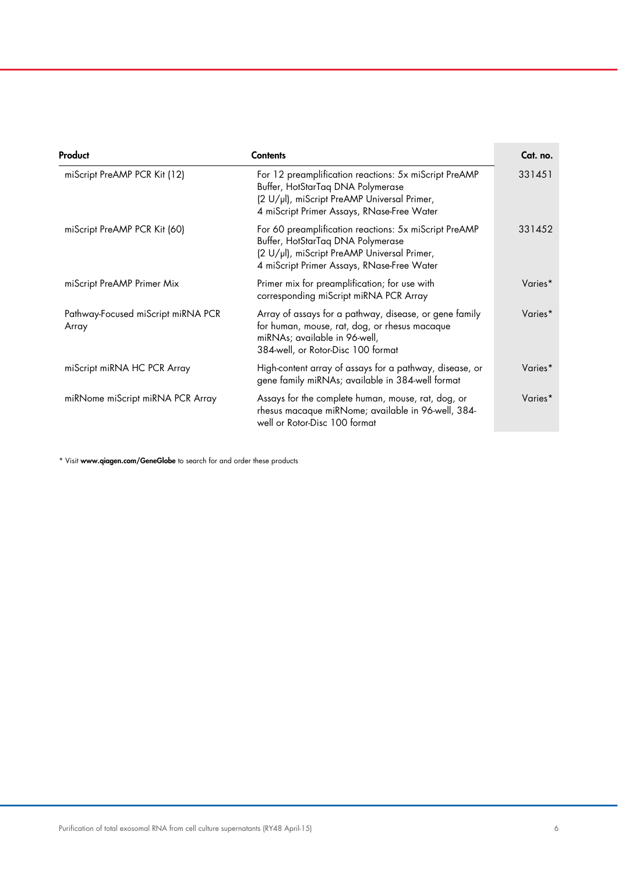| Product                                     | <b>Contents</b>                                                                                                                                                                         | Cat. no. |
|---------------------------------------------|-----------------------------------------------------------------------------------------------------------------------------------------------------------------------------------------|----------|
| miScript PreAMP PCR Kit (12)                | For 12 preamplification reactions: 5x miScript PreAMP<br>Buffer, HotStarTaq DNA Polymerase<br>(2 U/µl), miScript PreAMP Universal Primer,<br>4 miScript Primer Assays, RNase-Free Water | 331451   |
| miScript PreAMP PCR Kit (60)                | For 60 preamplification reactions: 5x miScript PreAMP<br>Buffer, HotStarTaq DNA Polymerase<br>(2 U/µl), miScript PreAMP Universal Primer,<br>4 miScript Primer Assays, RNase-Free Water | 331452   |
| miScript PreAMP Primer Mix                  | Primer mix for preamplification; for use with<br>corresponding miScript miRNA PCR Array                                                                                                 | Varies*  |
| Pathway-Focused miScript miRNA PCR<br>Array | Array of assays for a pathway, disease, or gene family<br>for human, mouse, rat, dog, or rhesus macaque<br>miRNAs; available in 96-well,<br>384-well, or Rotor-Disc 100 format          | Varies*  |
| miScript miRNA HC PCR Array                 | High-content array of assays for a pathway, disease, or<br>gene family miRNAs; available in 384-well format                                                                             | Varies*  |
| miRNome miScript miRNA PCR Array            | Assays for the complete human, mouse, rat, dog, or<br>rhesus macaque miRNome; available in 96-well, 384-<br>well or Rotor-Disc 100 format                                               | Varies*  |

\* Visit www.qiagen.com/GeneGlobe to search for and order these products